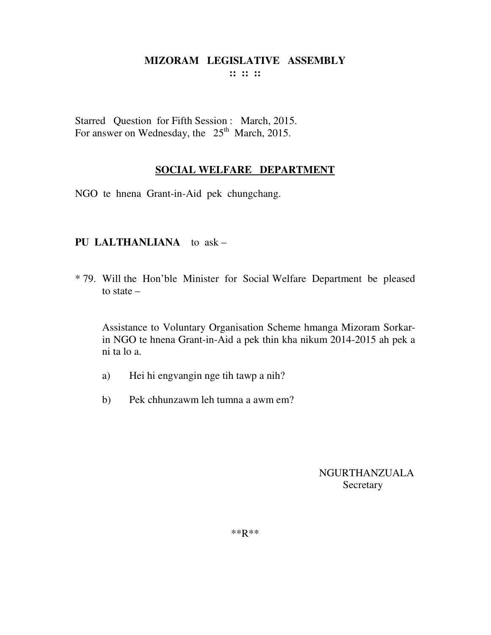**:: :: ::** 

Starred Question for Fifth Session : March, 2015. For answer on Wednesday, the  $25<sup>th</sup>$  March, 2015.

#### **SOCIAL WELFARE DEPARTMENT**

NGO te hnena Grant-in-Aid pek chungchang.

#### **PU LALTHANLIANA** to ask –

\* 79. Will the Hon'ble Minister for Social Welfare Department be pleased to state –

 Assistance to Voluntary Organisation Scheme hmanga Mizoram Sorkarin NGO te hnena Grant-in-Aid a pek thin kha nikum 2014-2015 ah pek a ni ta lo a.

- a) Hei hi engvangin nge tih tawp a nih?
- b) Pek chhunzawm leh tumna a awm em?

NGURTHANZUALA **Secretary** 

\*\*R\*\*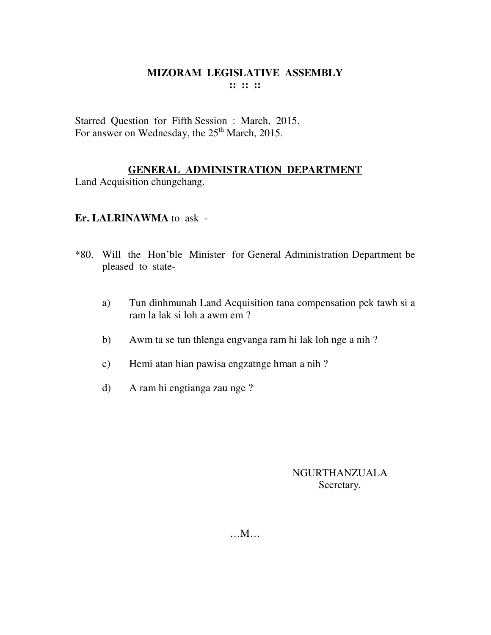Starred Question for Fifth Session : March, 2015. For answer on Wednesday, the 25<sup>th</sup> March, 2015.

#### **GENERAL ADMINISTRATION DEPARTMENT**

Land Acquisition chungchang.

#### **Er. LALRINAWMA** to ask -

- \*80. Will the Hon'ble Minister for General Administration Department be pleased to state
	- a) Tun dinhmunah Land Acquisition tana compensation pek tawh si a ram la lak si loh a awm em ?
	- b) Awm ta se tun thlenga engvanga ram hi lak loh nge a nih ?
	- c) Hemi atan hian pawisa engzatnge hman a nih ?
	- d) A ram hi engtianga zau nge ?

#### NGURTHANZUALA Secretary.

…M…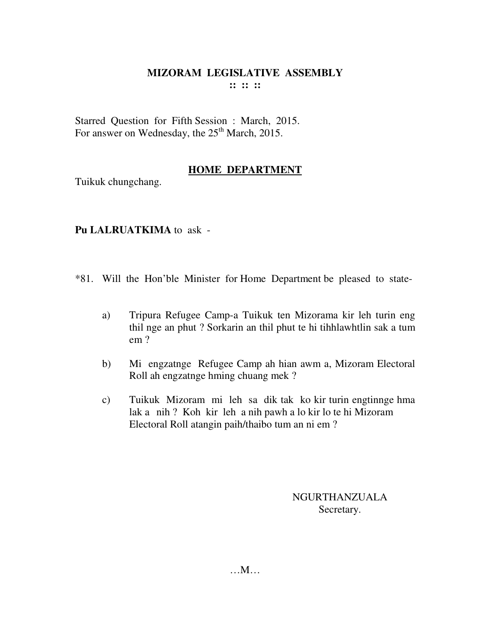Starred Question for Fifth Session : March, 2015. For answer on Wednesday, the  $25<sup>th</sup>$  March, 2015.

#### **HOME DEPARTMENT**

Tuikuk chungchang.

## **Pu LALRUATKIMA** to ask -

- \*81. Will the Hon'ble Minister for Home Department be pleased to state
	- a) Tripura Refugee Camp-a Tuikuk ten Mizorama kir leh turin eng thil nge an phut ? Sorkarin an thil phut te hi tihhlawhtlin sak a tum em ?
	- b) Mi engzatnge Refugee Camp ah hian awm a, Mizoram Electoral Roll ah engzatnge hming chuang mek ?
	- c) Tuikuk Mizoram mi leh sa dik tak ko kir turin engtinnge hma lak a nih ? Koh kir leh a nih pawh a lo kir lo te hi Mizoram Electoral Roll atangin paih/thaibo tum an ni em ?

NGURTHANZUALA Secretary.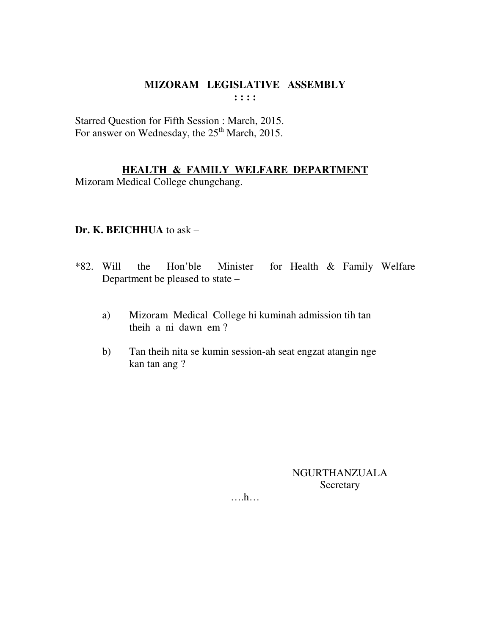Starred Question for Fifth Session : March, 2015. For answer on Wednesday, the 25<sup>th</sup> March, 2015.

#### **HEALTH & FAMILY WELFARE DEPARTMENT**

Mizoram Medical College chungchang.

#### **Dr. K. BEICHHUA** to ask –

- \*82. Will the Hon'ble Minister for Health & Family Welfare Department be pleased to state –
	- a) Mizoram Medical College hi kuminah admission tih tan theih a ni dawn em ?
	- b) Tan theih nita se kumin session-ah seat engzat atangin nge kan tan ang ?

NGURTHANZUALA Secretary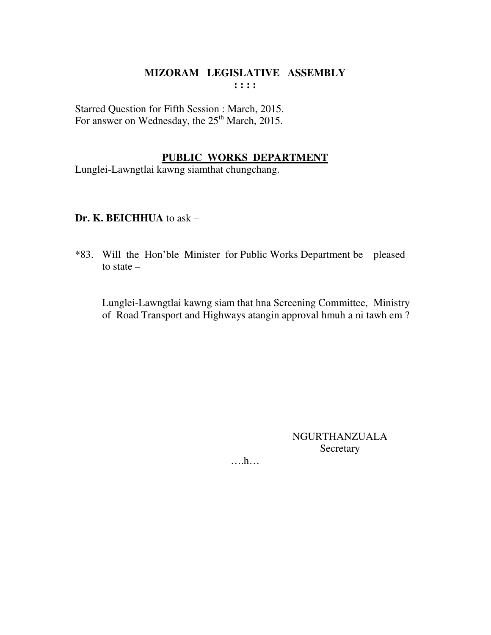Starred Question for Fifth Session : March, 2015. For answer on Wednesday, the 25<sup>th</sup> March, 2015.

#### **PUBLIC WORKS DEPARTMENT**

Lunglei-Lawngtlai kawng siamthat chungchang.

#### **Dr. K. BEICHHUA** to ask –

\*83. Will the Hon'ble Minister for Public Works Department be pleased to state –

 Lunglei-Lawngtlai kawng siam that hna Screening Committee, Ministry of Road Transport and Highways atangin approval hmuh a ni tawh em ?

> NGURTHANZUALA Secretary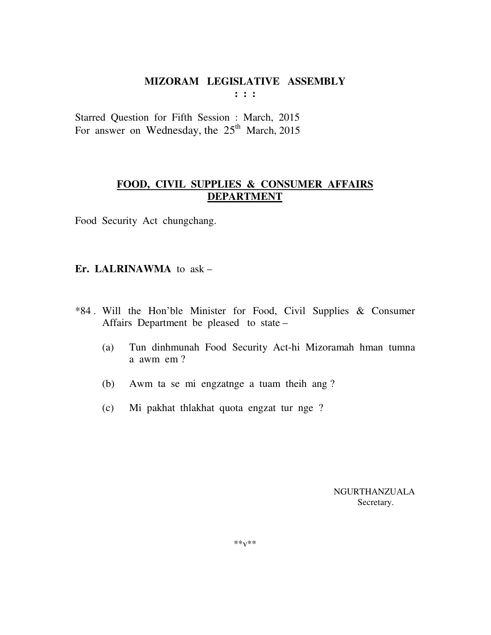**: : :** 

Starred Question for Fifth Session : March, 2015 For answer on Wednesday, the  $25<sup>th</sup>$  March, 2015

#### **FOOD, CIVIL SUPPLIES & CONSUMER AFFAIRS DEPARTMENT**

Food Security Act chungchang.

#### **Er. LALRINAWMA** to ask –

- \*84 . Will the Hon'ble Minister for Food, Civil Supplies & Consumer Affairs Department be pleased to state –
	- (a) Tun dinhmunah Food Security Act-hi Mizoramah hman tumna a awm em ?
	- (b) Awm ta se mi engzatnge a tuam theih ang ?
	- (c) Mi pakhat thlakhat quota engzat tur nge ?

 NGURTHANZUALA Secretary.

 $***v***$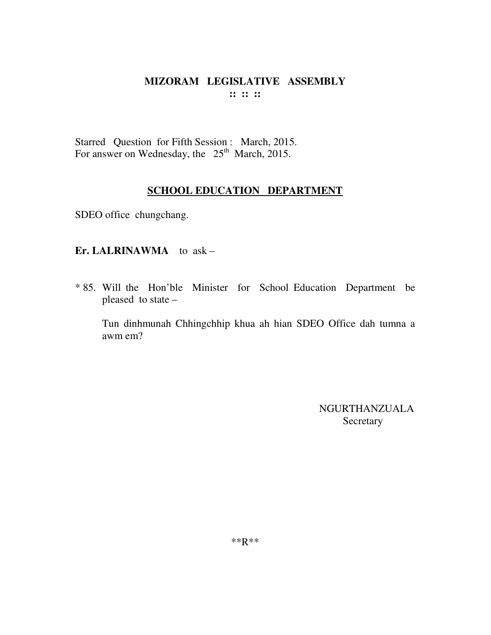Starred Question for Fifth Session : March, 2015. For answer on Wednesday, the 25<sup>th</sup> March, 2015.

#### **SCHOOL EDUCATION DEPARTMENT**

SDEO office chungchang.

#### **Er. LALRINAWMA** to ask –

\* 85. Will the Hon'ble Minister for School Education Department be pleased to state –

 Tun dinhmunah Chhingchhip khua ah hian SDEO Office dah tumna a awm em?

> NGURTHANZUALA Secretary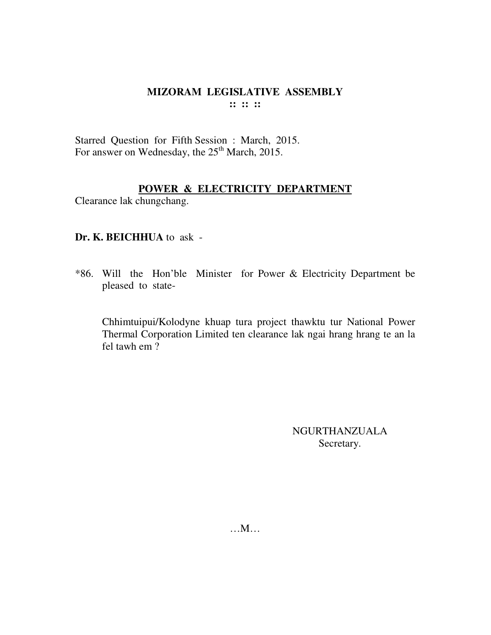Starred Question for Fifth Session : March, 2015. For answer on Wednesday, the 25<sup>th</sup> March, 2015.

#### **POWER & ELECTRICITY DEPARTMENT**

Clearance lak chungchang.

#### **Dr. K. BEICHHUA** to ask -

\*86. Will the Hon'ble Minister for Power & Electricity Department be pleased to state-

Chhimtuipui/Kolodyne khuap tura project thawktu tur National Power Thermal Corporation Limited ten clearance lak ngai hrang hrang te an la fel tawh em ?

> NGURTHANZUALA Secretary.

…M…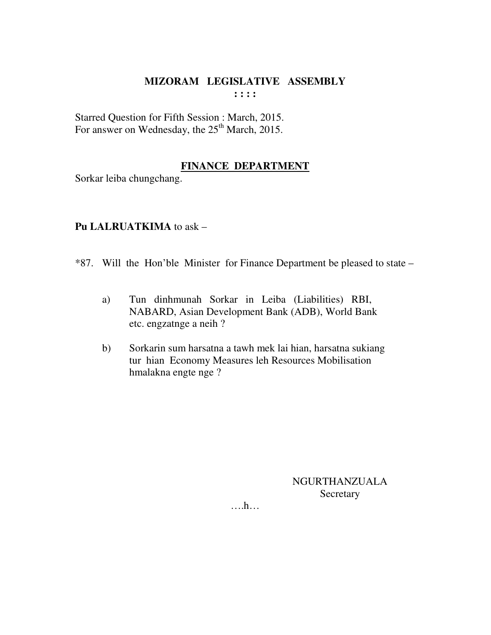Starred Question for Fifth Session : March, 2015. For answer on Wednesday, the 25<sup>th</sup> March, 2015.

#### **FINANCE DEPARTMENT**

Sorkar leiba chungchang.

#### **Pu LALRUATKIMA** to ask –

- \*87. Will the Hon'ble Minister for Finance Department be pleased to state
	- a) Tun dinhmunah Sorkar in Leiba (Liabilities) RBI, NABARD, Asian Development Bank (ADB), World Bank etc. engzatnge a neih ?
	- b) Sorkarin sum harsatna a tawh mek lai hian, harsatna sukiang tur hian Economy Measures leh Resources Mobilisation hmalakna engte nge ?

NGURTHANZUALA Secretary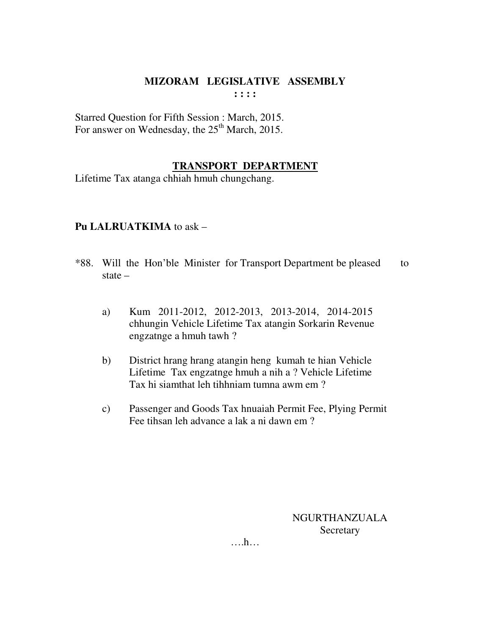Starred Question for Fifth Session : March, 2015. For answer on Wednesday, the  $25<sup>th</sup>$  March, 2015.

#### **TRANSPORT DEPARTMENT**

Lifetime Tax atanga chhiah hmuh chungchang.

#### **Pu LALRUATKIMA** to ask –

- \*88. Will the Hon'ble Minister for Transport Department be pleased to state –
	- a) Kum 2011-2012, 2012-2013, 2013-2014, 2014-2015 chhungin Vehicle Lifetime Tax atangin Sorkarin Revenue engzatnge a hmuh tawh ?
	- b) District hrang hrang atangin heng kumah te hian Vehicle Lifetime Tax engzatnge hmuh a nih a ? Vehicle Lifetime Tax hi siamthat leh tihhniam tumna awm em ?
	- c) Passenger and Goods Tax hnuaiah Permit Fee, Plying Permit Fee tihsan leh advance a lak a ni dawn em ?

NGURTHANZUALA **Secretary**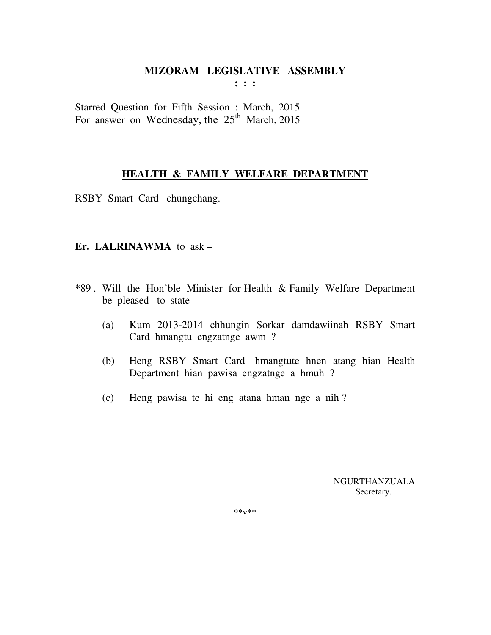**: : :** 

Starred Question for Fifth Session : March, 2015 For answer on Wednesday, the  $25<sup>th</sup>$  March, 2015

#### **HEALTH & FAMILY WELFARE DEPARTMENT**

RSBY Smart Card chungchang.

#### **Er. LALRINAWMA** to ask –

- \*89 . Will the Hon'ble Minister for Health & Family Welfare Department be pleased to state –
	- (a) Kum 2013-2014 chhungin Sorkar damdawiinah RSBY Smart Card hmangtu engzatnge awm ?
	- (b) Heng RSBY Smart Card hmangtute hnen atang hian Health Department hian pawisa engzatnge a hmuh ?
	- (c) Heng pawisa te hi eng atana hman nge a nih ?

 NGURTHANZUALA Secretary.

\*\*v\*\*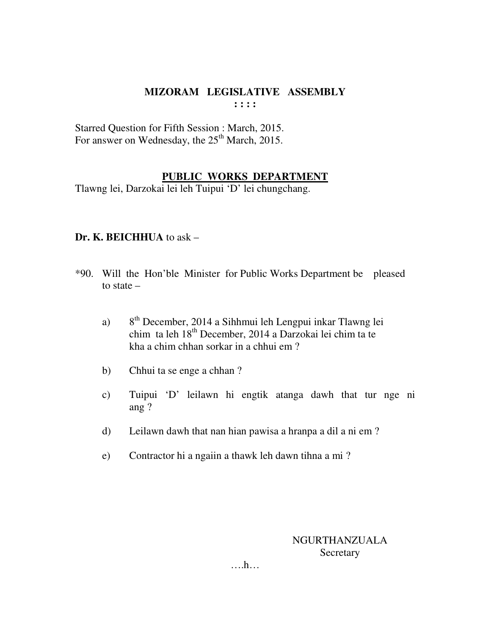Starred Question for Fifth Session : March, 2015. For answer on Wednesday, the 25<sup>th</sup> March, 2015.

#### **PUBLIC WORKS DEPARTMENT**

Tlawng lei, Darzokai lei leh Tuipui 'D' lei chungchang.

#### **Dr. K. BEICHHUA** to ask –

- \*90. Will the Hon'ble Minister for Public Works Department be pleased to state –
	- a)  $8<sup>th</sup>$  December, 2014 a Sihhmui leh Lengpui inkar Tlawng lei chim ta leh 18th December, 2014 a Darzokai lei chim ta te kha a chim chhan sorkar in a chhui em ?
	- b) Chhui ta se enge a chhan ?
	- c) Tuipui 'D' leilawn hi engtik atanga dawh that tur nge ni ang ?
	- d) Leilawn dawh that nan hian pawisa a hranpa a dil a ni em ?
	- e) Contractor hi a ngaiin a thawk leh dawn tihna a mi ?

## NGURTHANZUALA **Secretary**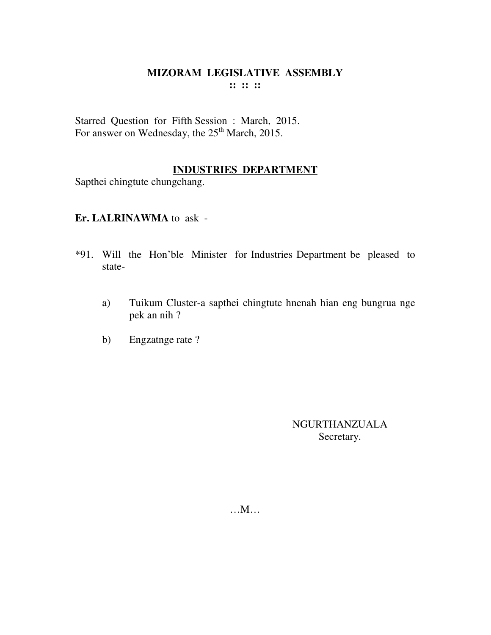Starred Question for Fifth Session : March, 2015. For answer on Wednesday, the 25<sup>th</sup> March, 2015.

#### **INDUSTRIES DEPARTMENT**

Sapthei chingtute chungchang.

#### **Er. LALRINAWMA** to ask -

- \*91. Will the Hon'ble Minister for Industries Department be pleased to state
	- a) Tuikum Cluster-a sapthei chingtute hnenah hian eng bungrua nge pek an nih ?
	- b) Engzatnge rate ?

NGURTHANZUALA Secretary.

…M…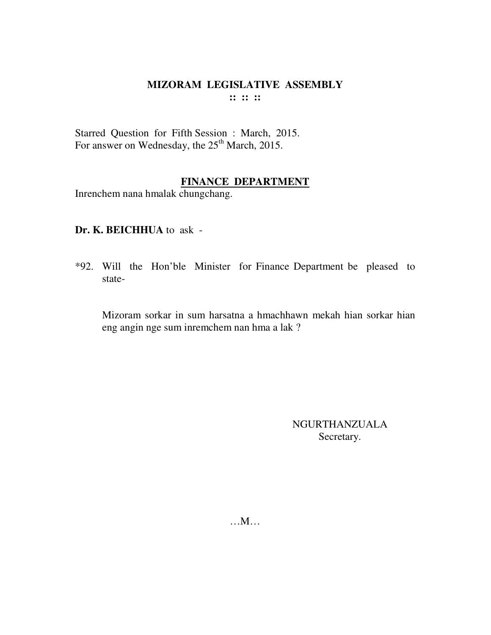Starred Question for Fifth Session : March, 2015. For answer on Wednesday, the 25<sup>th</sup> March, 2015.

## **FINANCE DEPARTMENT**

Inrenchem nana hmalak chungchang.

#### **Dr. K. BEICHHUA** to ask -

\*92. Will the Hon'ble Minister for Finance Department be pleased to state-

Mizoram sorkar in sum harsatna a hmachhawn mekah hian sorkar hian eng angin nge sum inremchem nan hma a lak ?

> NGURTHANZUALA Secretary.